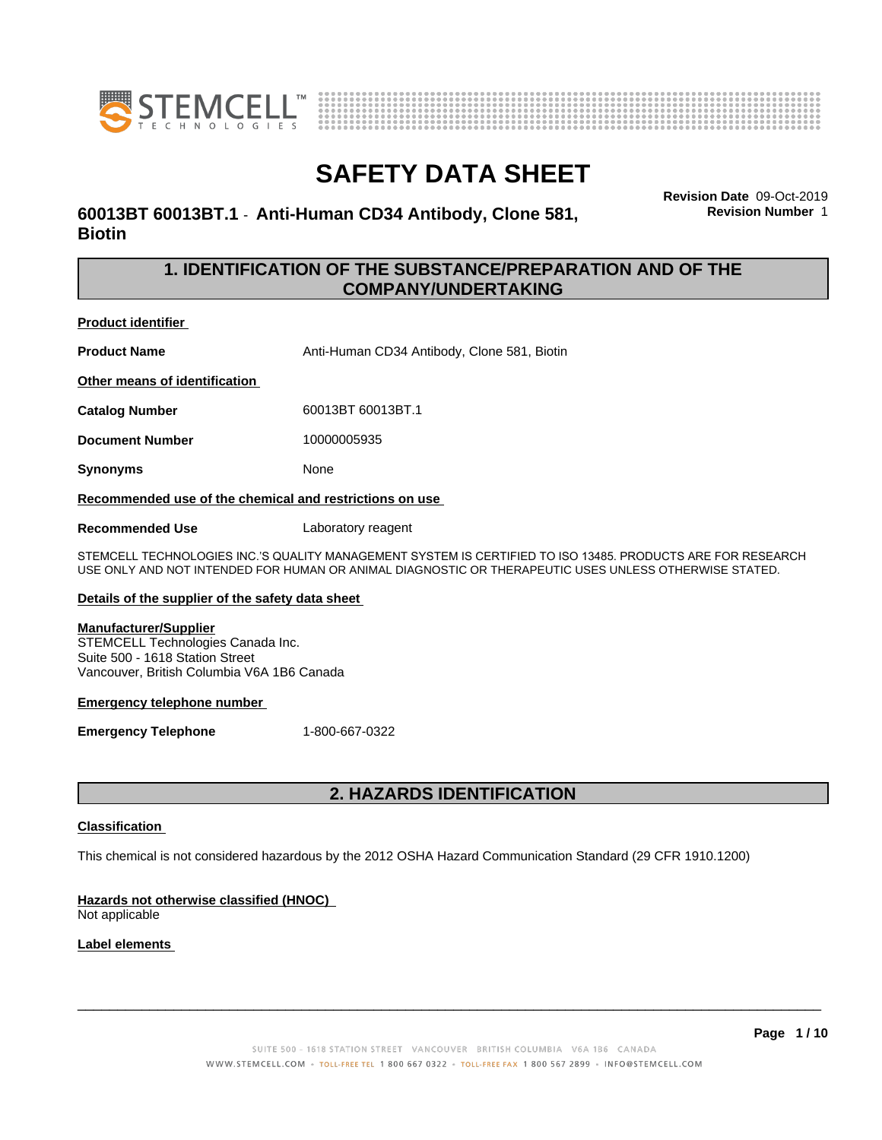



**Revision Date** 09-Oct-2019

**Revision Number** 1

# **SAFETY DATA SHEET**

**60013BT 60013BT.1** - **Anti-Human CD34 Antibody, Clone 581, Biotin**

### **1. IDENTIFICATION OF THE SUBSTANCE/PREPARATION AND OF THE COMPANY/UNDERTAKING**

**Product identifier**

**Product Name** Anti-Human CD34 Antibody, Clone 581, Biotin

**Other means of identification**

**Catalog Number** 60013BT 60013BT.1

**Document Number** 10000005935

**Synonyms** None

**Recommended use of the chemical and restrictions on use**

**Recommended Use** Laboratory reagent

STEMCELL TECHNOLOGIES INC.'S QUALITY MANAGEMENT SYSTEM IS CERTIFIED TO ISO 13485. PRODUCTS ARE FOR RESEARCH USE ONLY AND NOT INTENDED FOR HUMAN OR ANIMAL DIAGNOSTIC OR THERAPEUTIC USES UNLESS OTHERWISE STATED.

### **Details of the supplier of the safety data sheet**

### **Manufacturer/Supplier**

STEMCELL Technologies Canada Inc. Suite 500 - 1618 Station Street Vancouver, British Columbia V6A 1B6 Canada

### **Emergency telephone number**

**Emergency Telephone** 1-800-667-0322

## **2. HAZARDS IDENTIFICATION**

### **Classification**

This chemical is not considered hazardous by the 2012 OSHA Hazard Communication Standard (29 CFR 1910.1200)

### **Hazards not otherwise classified (HNOC)**

Not applicable

### **Label elements**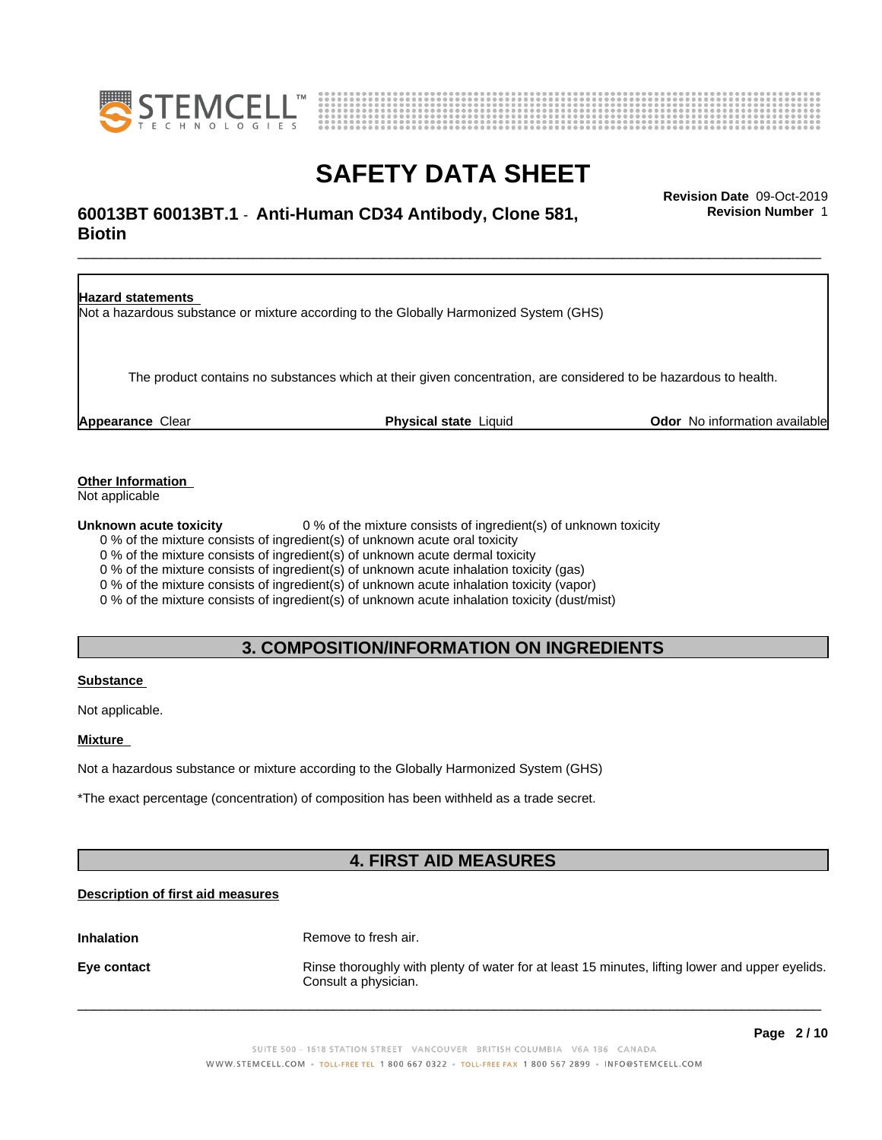



# \_\_\_\_\_\_\_\_\_\_\_\_\_\_\_\_\_\_\_\_\_\_\_\_\_\_\_\_\_\_\_\_\_\_\_\_\_\_\_\_\_\_\_\_\_\_\_\_\_\_\_\_\_\_\_\_\_\_\_\_\_\_\_\_\_\_\_\_\_\_\_\_\_\_\_\_\_\_\_\_\_\_\_\_\_\_\_\_\_\_\_\_\_ **Revision Date** 09-Oct-2019 **60013BT 60013BT.1** - **Anti-Human CD34 Antibody, Clone 581, Biotin**

**Revision Number** 1

**Hazard statements** Not a hazardous substance or mixture according to the Globally Harmonized System (GHS) The product contains no substances which at their given concentration, are considered to be hazardous to health. **Appearance** Clear **Physical state** Liquid **Odor** No information available

**Other Information**

Not applicable

**Unknown acute toxicity** 0 % of the mixture consists of ingredient(s) of unknown toxicity

0 % of the mixture consists of ingredient(s) of unknown acute oral toxicity

0 % of the mixture consists of ingredient(s) of unknown acute dermal toxicity

0 % of the mixture consists of ingredient(s) of unknown acute inhalation toxicity (gas)

0 % of the mixture consists of ingredient(s) of unknown acute inhalation toxicity (vapor)

0 % of the mixture consists of ingredient(s) of unknown acute inhalation toxicity (dust/mist)

### **3. COMPOSITION/INFORMATION ON INGREDIENTS**

### **Substance**

Not applicable.

### **Mixture**

Not a hazardous substance or mixture according to the Globally Harmonized System (GHS)

\*The exact percentage (concentration) of composition has been withheld as a trade secret.

# **4. FIRST AID MEASURES**

### **Description of first aid measures**

**Inhalation** Remove to fresh air.

**Eye contact Rinse thoroughly with plenty of water for at least 15 minutes, lifting lower and upper eyelids.** Consult a physician.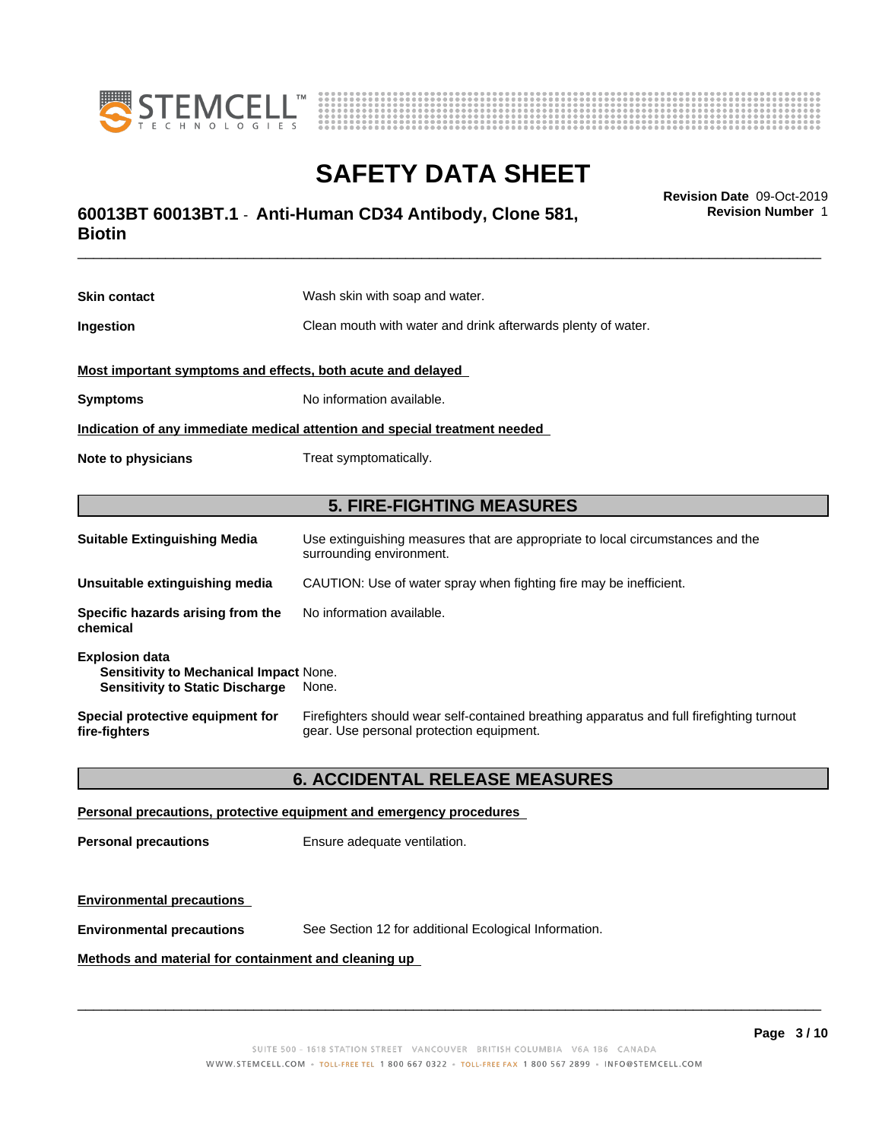



# \_\_\_\_\_\_\_\_\_\_\_\_\_\_\_\_\_\_\_\_\_\_\_\_\_\_\_\_\_\_\_\_\_\_\_\_\_\_\_\_\_\_\_\_\_\_\_\_\_\_\_\_\_\_\_\_\_\_\_\_\_\_\_\_\_\_\_\_\_\_\_\_\_\_\_\_\_\_\_\_\_\_\_\_\_\_\_\_\_\_\_\_\_ **Revision Date** 09-Oct-2019 **60013BT 60013BT.1** - **Anti-Human CD34 Antibody, Clone 581, Biotin**

**Skin contact** Wash skin with soap and water. **Ingestion Clean mouth with water and drink afterwards plenty of water. Most important symptoms and effects, both acute and delayed Symptoms** No information available. **Indication of any immediate medical attention and special treatment needed Note to physicians** Treat symptomatically. **5. FIRE-FIGHTING MEASURES Suitable Extinguishing Media** Use extinguishing measures that are appropriate to local circumstances and the surrounding environment. **Unsuitable extinguishing media** CAUTION: Use of water spray when fighting fire may be inefficient. **Specific hazards arising from the chemical** No information available. **Explosion data Sensitivity to Mechanical Impact** None. **Sensitivity to Static Discharge** None. **Special protective equipment for** Firefighters should wear self-contained breathing apparatus and full firefighting turnout

### **6. ACCIDENTAL RELEASE MEASURES**

gear. Use personal protection equipment.

### **Personal precautions, protective equipment and emergency procedures**

**Personal precautions** Ensure adequate ventilation.

### **Environmental precautions**

**fire-fighters**

**Environmental precautions** See Section 12 for additional Ecological Information.

### **Methods and material for containment and cleaning up**

 $\overline{\phantom{a}}$  ,  $\overline{\phantom{a}}$  ,  $\overline{\phantom{a}}$  ,  $\overline{\phantom{a}}$  ,  $\overline{\phantom{a}}$  ,  $\overline{\phantom{a}}$  ,  $\overline{\phantom{a}}$  ,  $\overline{\phantom{a}}$  ,  $\overline{\phantom{a}}$  ,  $\overline{\phantom{a}}$  ,  $\overline{\phantom{a}}$  ,  $\overline{\phantom{a}}$  ,  $\overline{\phantom{a}}$  ,  $\overline{\phantom{a}}$  ,  $\overline{\phantom{a}}$  ,  $\overline{\phantom{a}}$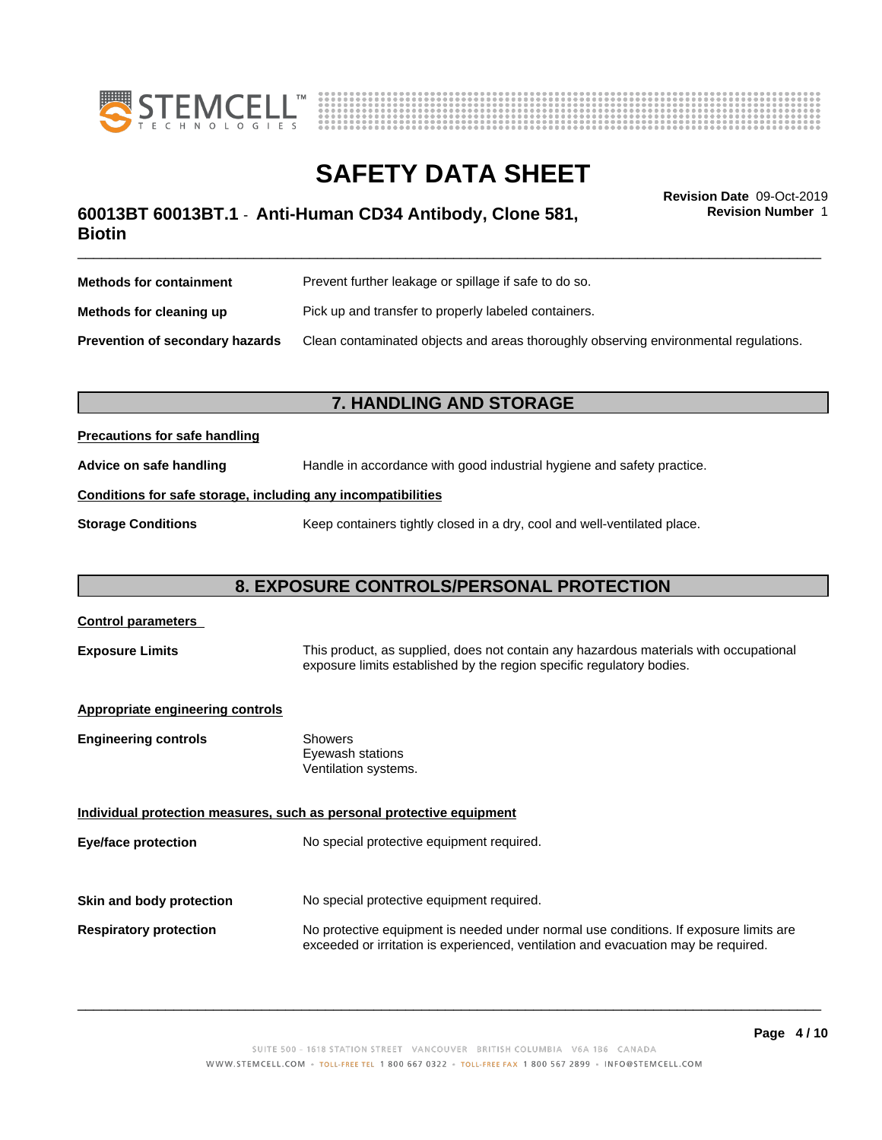



\_\_\_\_\_\_\_\_\_\_\_\_\_\_\_\_\_\_\_\_\_\_\_\_\_\_\_\_\_\_\_\_\_\_\_\_\_\_\_\_\_\_\_\_\_\_\_\_\_\_\_\_\_\_\_\_\_\_\_\_\_\_\_\_\_\_\_\_\_\_\_\_\_\_\_\_\_\_\_\_\_\_\_\_\_\_\_\_\_\_\_\_\_ **Revision Date** 09-Oct-2019 **60013BT 60013BT.1** - **Anti-Human CD34 Antibody, Clone 581, Biotin**

**Methods for containment** Prevent further leakage or spillage if safe to do so. **Methods for cleaning up** Pick up and transfer to properly labeled containers. **Prevention of secondary hazards** Clean contaminated objects and areas thoroughly observing environmental regulations.

### **7. HANDLING AND STORAGE**

### **Precautions for safe handling**

**Advice on safe handling** Handle in accordance with good industrial hygiene and safety practice.

### **Conditions for safe storage, including any incompatibilities**

**Storage Conditions** Keep containers tightly closed in a dry, cool and well-ventilated place.

# **8. EXPOSURE CONTROLS/PERSONAL PROTECTION**

| <b>Control parameters</b>               |                                                                                                                                                                             |
|-----------------------------------------|-----------------------------------------------------------------------------------------------------------------------------------------------------------------------------|
| <b>Exposure Limits</b>                  | This product, as supplied, does not contain any hazardous materials with occupational<br>exposure limits established by the region specific regulatory bodies.              |
| <b>Appropriate engineering controls</b> |                                                                                                                                                                             |
| <b>Engineering controls</b>             | Showers<br>Eyewash stations<br>Ventilation systems.                                                                                                                         |
|                                         | Individual protection measures, such as personal protective equipment                                                                                                       |
| Eye/face protection                     | No special protective equipment required.                                                                                                                                   |
| Skin and body protection                | No special protective equipment required.                                                                                                                                   |
| <b>Respiratory protection</b>           | No protective equipment is needed under normal use conditions. If exposure limits are<br>exceeded or irritation is experienced, ventilation and evacuation may be required. |

 $\overline{\phantom{a}}$  ,  $\overline{\phantom{a}}$  ,  $\overline{\phantom{a}}$  ,  $\overline{\phantom{a}}$  ,  $\overline{\phantom{a}}$  ,  $\overline{\phantom{a}}$  ,  $\overline{\phantom{a}}$  ,  $\overline{\phantom{a}}$  ,  $\overline{\phantom{a}}$  ,  $\overline{\phantom{a}}$  ,  $\overline{\phantom{a}}$  ,  $\overline{\phantom{a}}$  ,  $\overline{\phantom{a}}$  ,  $\overline{\phantom{a}}$  ,  $\overline{\phantom{a}}$  ,  $\overline{\phantom{a}}$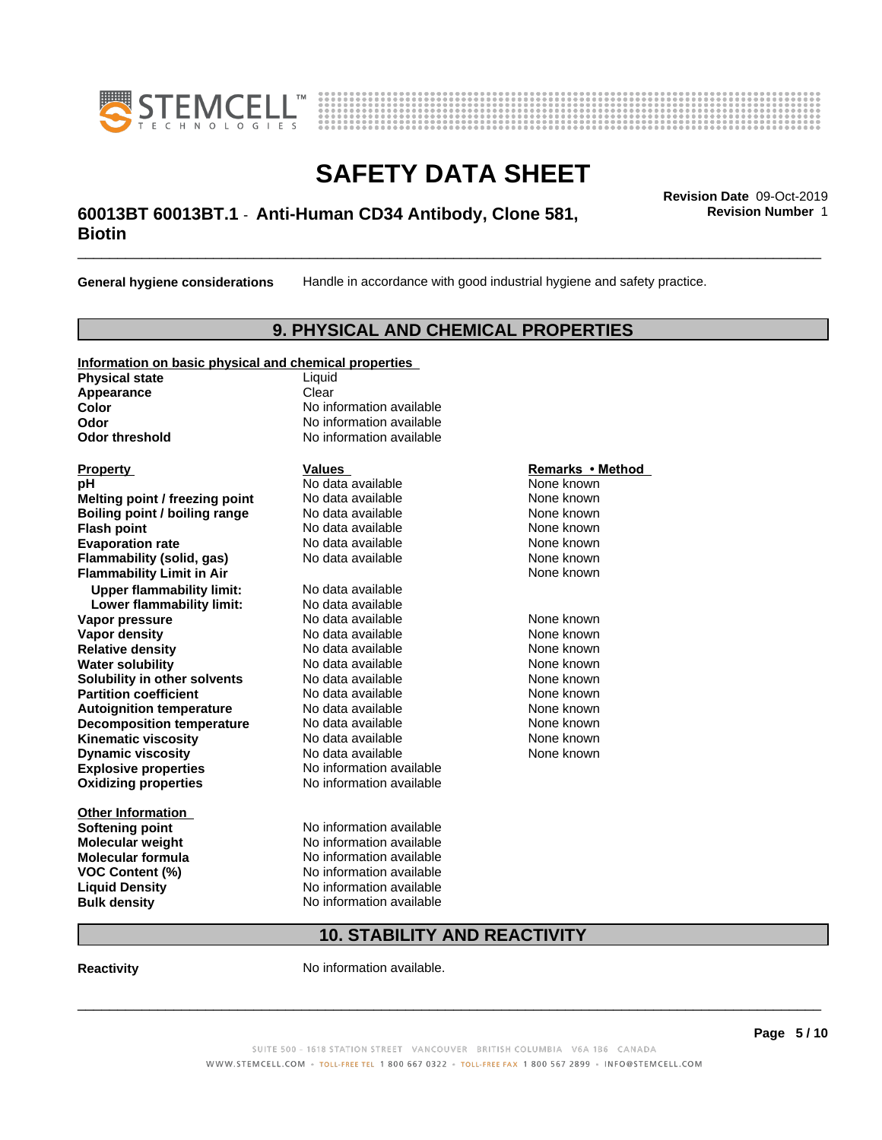



# \_\_\_\_\_\_\_\_\_\_\_\_\_\_\_\_\_\_\_\_\_\_\_\_\_\_\_\_\_\_\_\_\_\_\_\_\_\_\_\_\_\_\_\_\_\_\_\_\_\_\_\_\_\_\_\_\_\_\_\_\_\_\_\_\_\_\_\_\_\_\_\_\_\_\_\_\_\_\_\_\_\_\_\_\_\_\_\_\_\_\_\_\_ **Revision Date** 09-Oct-2019 **60013BT 60013BT.1** - **Anti-Human CD34 Antibody, Clone 581, Biotin**

**General hygiene considerations** Handle in accordance with good industrial hygiene and safety practice.

### **9. PHYSICAL AND CHEMICAL PROPERTIES**

### **Information on basic physical and chemical properties**

**Physical state** Liquid **Appearance** Clear<br> **Color** No inf

**Explosive properties**<br> **Oxidizing properties**<br>
No information available **Oxidizing properties Property Remarks •Method Property Remarks •Method pH** No data available None known<br> **Melting point / freezing point** No data available None known **Melting point / freezing point** No data available None known<br> **Boiling point / boiling range** No data available None known **Boiling point / boiling range Flash point No data available None known Evaporation rate Cone Cone Access Mode to Access 10 and 7 and 7 and 7 and 7 and 7 and 7 and 7 and 7 and 7 and 7 and 7 and 7 and 7 and 7 and 7 and 7 and 7 and 7 and 7 and 7 and 7 and 7 and 7 and 7 and 7 and 7 and 7 and 7 Flammability (solid, gas)** No data available None known **Flammability Limit in Air Air 1988 1999 <b>1999 1999 <b>1999 1999 1999 1999 1999 1999 1999 1999 1999 1999 1999 1999 1999 1999 1999 1999 1999 1999 1999 1999 1999 1999 1999 Upper flammability limit:** No data available **Lower flammability limit:** No data available **Vapor pressure No data available None known Vapor density Notata available None known Relative density No data available None known**<br> **Water solubility No data available None known**<br>
No data available **Water solubility Solubility in other solvents** No data available **None known**<br> **Partition coefficient** No data available None known<br>
None known **Partition coefficient**<br> **Autoignition temperature**<br>
No data available None None known<br>
None known **Autoignition temperature** Mo data available Mone known<br> **Decomposition temperature** No data available None known **Decomposition temperature** No data available<br> **Kinematic viscosity** No data available **Kinematic viscosity No data available None known**<br> **Notata available None known**<br>
Notata available **None known Dynamic viscosity No data available None known** 

**Other Information VOC** Content (%)

**No information available Odor** No information available **Odor threshold** No information available

**Softening point** No information available **Molecular weight** No information available **Molecular formula No information available**<br>**VOC Content (%)** No information available **Liquid Density** No information available **Bulk density** No information available

# **10. STABILITY AND REACTIVITY**

**Reactivity No information available.** 

SUITE 500 - 1618 STATION STREET VANCOUVER BRITISH COLUMBIA V6A 1B6 CANADA WWW.STEMCELL.COM · TOLL-FREE TEL 1 800 667 0322 · TOLL-FREE FAX 1 800 567 2899 · INFO@STEMCELL.COM

 $\overline{\phantom{a}}$  ,  $\overline{\phantom{a}}$  ,  $\overline{\phantom{a}}$  ,  $\overline{\phantom{a}}$  ,  $\overline{\phantom{a}}$  ,  $\overline{\phantom{a}}$  ,  $\overline{\phantom{a}}$  ,  $\overline{\phantom{a}}$  ,  $\overline{\phantom{a}}$  ,  $\overline{\phantom{a}}$  ,  $\overline{\phantom{a}}$  ,  $\overline{\phantom{a}}$  ,  $\overline{\phantom{a}}$  ,  $\overline{\phantom{a}}$  ,  $\overline{\phantom{a}}$  ,  $\overline{\phantom{a}}$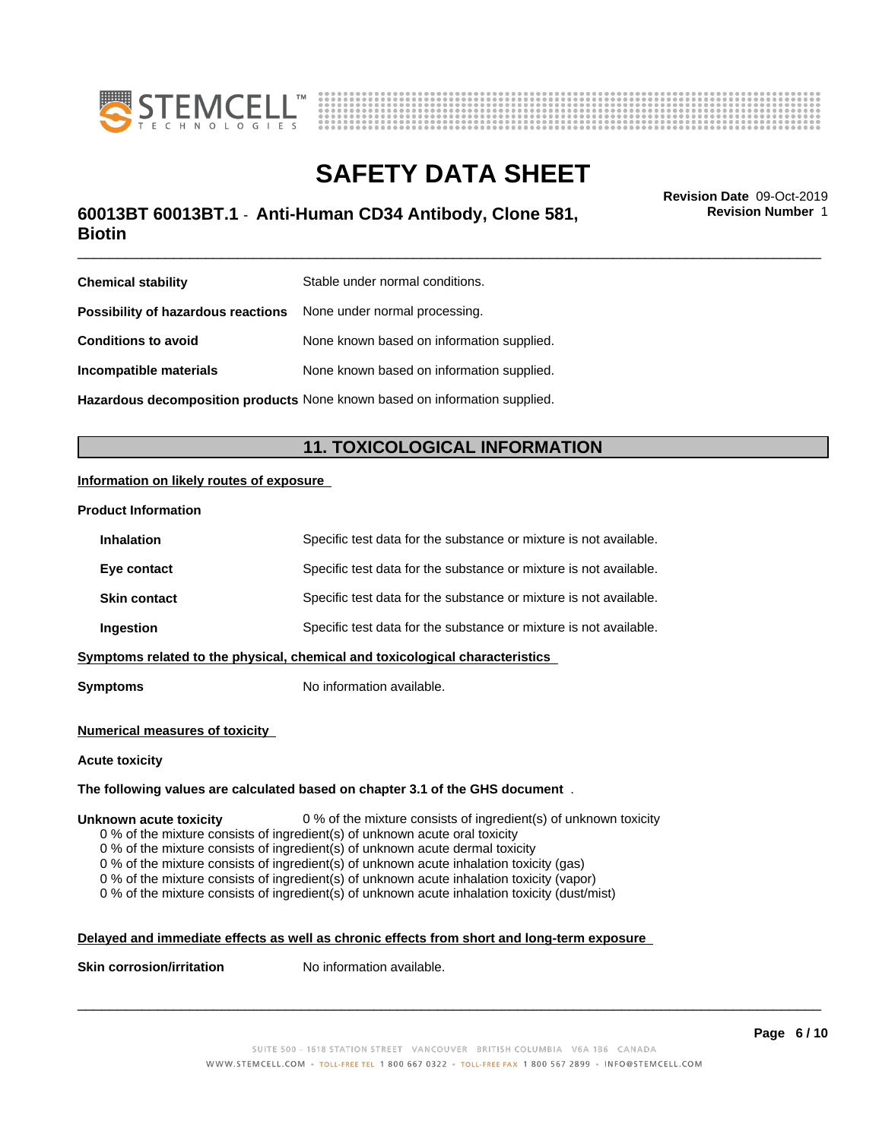



# \_\_\_\_\_\_\_\_\_\_\_\_\_\_\_\_\_\_\_\_\_\_\_\_\_\_\_\_\_\_\_\_\_\_\_\_\_\_\_\_\_\_\_\_\_\_\_\_\_\_\_\_\_\_\_\_\_\_\_\_\_\_\_\_\_\_\_\_\_\_\_\_\_\_\_\_\_\_\_\_\_\_\_\_\_\_\_\_\_\_\_\_\_ **Revision Date** 09-Oct-2019 **60013BT 60013BT.1** - **Anti-Human CD34 Antibody, Clone 581, Biotin**

**Revision Number** 1

| <b>Chemical stability</b>                                               | Stable under normal conditions.                                                   |
|-------------------------------------------------------------------------|-----------------------------------------------------------------------------------|
| <b>Possibility of hazardous reactions</b> None under normal processing. |                                                                                   |
| <b>Conditions to avoid</b>                                              | None known based on information supplied.                                         |
| Incompatible materials                                                  | None known based on information supplied.                                         |
|                                                                         | <b>Hazardous decomposition products</b> None known based on information supplied. |

## **11. TOXICOLOGICAL INFORMATION**

### **Information on likely routes of exposure**

### **Product Information**

| <b>Inhalation</b>   | Specific test data for the substance or mixture is not available.            |
|---------------------|------------------------------------------------------------------------------|
| Eye contact         | Specific test data for the substance or mixture is not available.            |
| <b>Skin contact</b> | Specific test data for the substance or mixture is not available.            |
| Ingestion           | Specific test data for the substance or mixture is not available.            |
|                     | Symptoms related to the physical, chemical and toxicological characteristics |
|                     |                                                                              |

**Symptoms** No information available.

### **Numerical measures of toxicity**

#### **Acute toxicity**

### **The following values are calculated based on chapter 3.1 of the GHS document** .

### **Unknown acute toxicity** 0 % of the mixture consists of ingredient(s) of unknown toxicity

0 % of the mixture consists of ingredient(s) of unknown acute oral toxicity

0 % of the mixture consists of ingredient(s) of unknown acute dermal toxicity

 $0$  % of the mixture consists of ingredient(s) of unknown acute inhalation toxicity (gas)

0 % of the mixture consists of ingredient(s) of unknown acute inhalation toxicity (vapor)

0 % of the mixture consists of ingredient(s) of unknown acute inhalation toxicity (dust/mist)

### **Delayed and immediate effects as well as chronic effects from short and long-term exposure**

**Skin corrosion/irritation** No information available.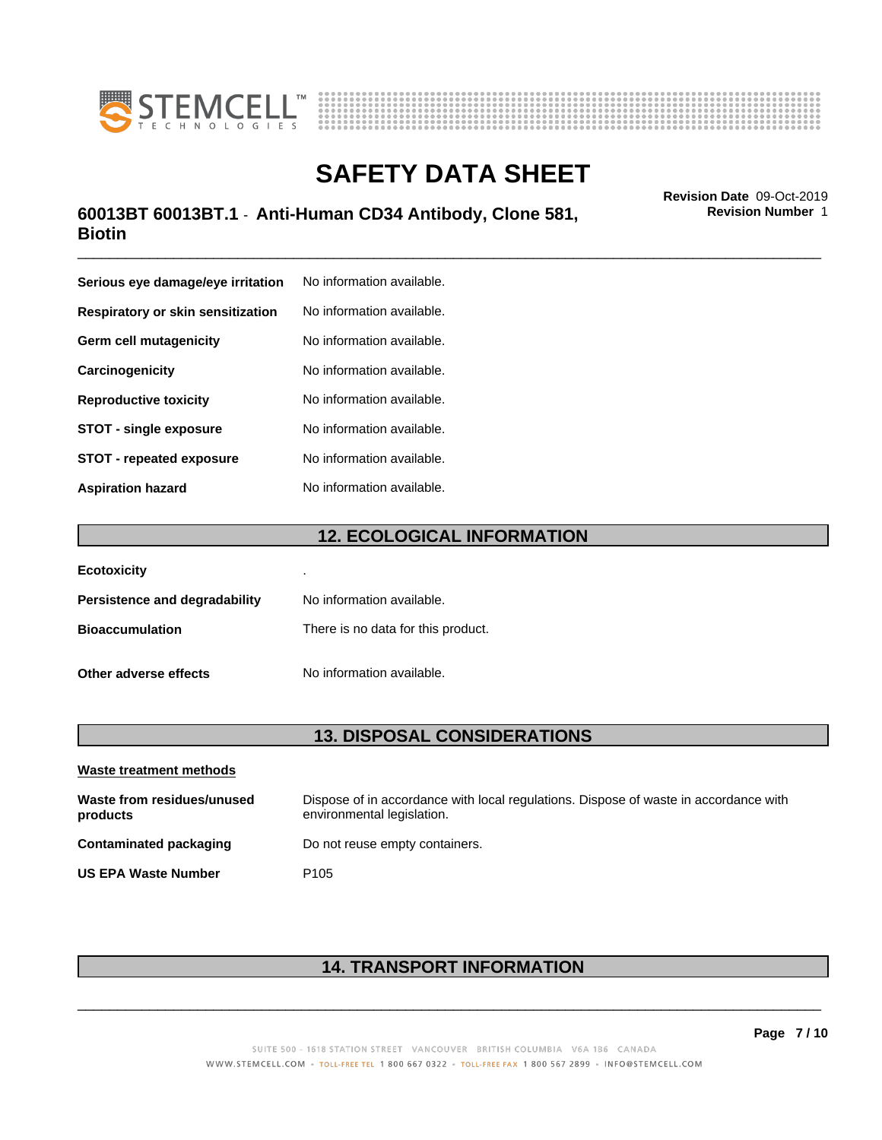



# \_\_\_\_\_\_\_\_\_\_\_\_\_\_\_\_\_\_\_\_\_\_\_\_\_\_\_\_\_\_\_\_\_\_\_\_\_\_\_\_\_\_\_\_\_\_\_\_\_\_\_\_\_\_\_\_\_\_\_\_\_\_\_\_\_\_\_\_\_\_\_\_\_\_\_\_\_\_\_\_\_\_\_\_\_\_\_\_\_\_\_\_\_ **Revision Date** 09-Oct-2019 **60013BT 60013BT.1** - **Anti-Human CD34 Antibody, Clone 581, Biotin**

**Serious eye damage/eye irritation** No information available. **Respiratory or skin sensitization** No information available. **Germ cell mutagenicity** No information available. **Carcinogenicity** No information available. **Reproductive toxicity** No information available. **STOT** - single exposure No information available. **STOT** - **repeated exposure** No information available. **Aspiration hazard** No information available.

### **12. ECOLOGICAL INFORMATION**

| <b>Ecotoxicity</b>            | ٠                                  |
|-------------------------------|------------------------------------|
| Persistence and degradability | No information available.          |
| <b>Bioaccumulation</b>        | There is no data for this product. |
| Other adverse effects         | No information available.          |

### **13. DISPOSAL CONSIDERATIONS**

| Waste treatment methods                |                                                                                                                    |
|----------------------------------------|--------------------------------------------------------------------------------------------------------------------|
| Waste from residues/unused<br>products | Dispose of in accordance with local regulations. Dispose of waste in accordance with<br>environmental legislation. |
| Contaminated packaging                 | Do not reuse empty containers.                                                                                     |
| <b>US EPA Waste Number</b>             | P <sub>105</sub>                                                                                                   |

# **14. TRANSPORT INFORMATION**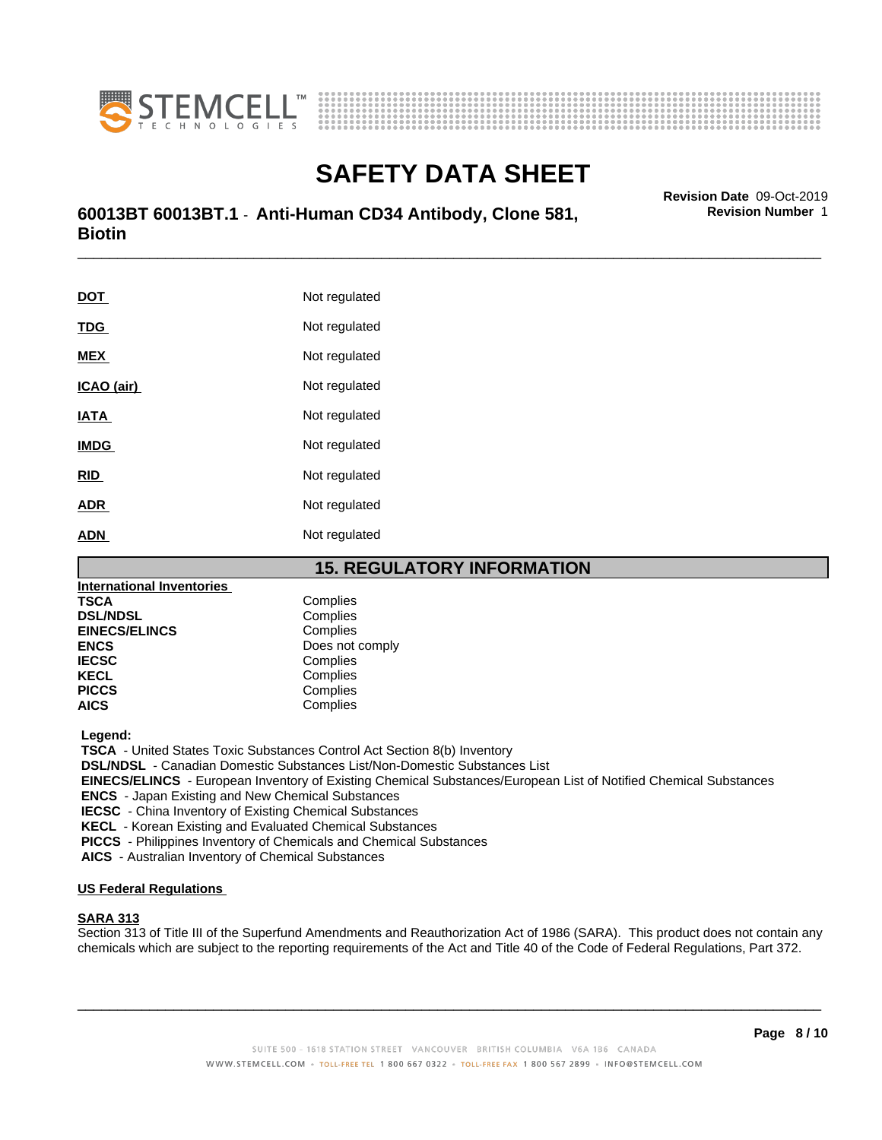



# \_\_\_\_\_\_\_\_\_\_\_\_\_\_\_\_\_\_\_\_\_\_\_\_\_\_\_\_\_\_\_\_\_\_\_\_\_\_\_\_\_\_\_\_\_\_\_\_\_\_\_\_\_\_\_\_\_\_\_\_\_\_\_\_\_\_\_\_\_\_\_\_\_\_\_\_\_\_\_\_\_\_\_\_\_\_\_\_\_\_\_\_\_ **Revision Date** 09-Oct-2019 **60013BT 60013BT.1** - **Anti-Human CD34 Antibody, Clone 581, Biotin**

**DOT** Not regulated **TDG** Not regulated **MEX** Not regulated **ICAO** (air) Not regulated **IATA** Not regulated **IMDG** Not regulated **RID** Not regulated **ADR** Not regulated **ADN** Not regulated

### **15. REGULATORY INFORMATION**

| <b>International Inventories</b> |                 |  |
|----------------------------------|-----------------|--|
| TSCA                             | Complies        |  |
| <b>DSL/NDSL</b>                  | Complies        |  |
| <b>EINECS/ELINCS</b>             | Complies        |  |
| <b>ENCS</b>                      | Does not comply |  |
| <b>IECSC</b>                     | Complies        |  |
| <b>KECL</b>                      | Complies        |  |
| <b>PICCS</b>                     | Complies        |  |
| AICS                             | Complies        |  |
|                                  |                 |  |

 **Legend:**

 **TSCA** - United States Toxic Substances Control Act Section 8(b) Inventory

 **DSL/NDSL** - Canadian Domestic Substances List/Non-Domestic Substances List

 **EINECS/ELINCS** - European Inventory of Existing Chemical Substances/European List of Notified Chemical Substances

 **ENCS** - Japan Existing and New Chemical Substances

 **IECSC** - China Inventory of Existing Chemical Substances

 **KECL** - Korean Existing and Evaluated Chemical Substances

 **PICCS** - Philippines Inventory of Chemicals and Chemical Substances

 **AICS** - Australian Inventory of Chemical Substances

### **US Federal Regulations**

### **SARA 313**

Section 313 of Title III of the Superfund Amendments and Reauthorization Act of 1986 (SARA). This product does not contain any chemicals which are subject to the reporting requirements of the Act and Title 40 of the Code of Federal Regulations, Part 372.

 $\overline{\phantom{a}}$  ,  $\overline{\phantom{a}}$  ,  $\overline{\phantom{a}}$  ,  $\overline{\phantom{a}}$  ,  $\overline{\phantom{a}}$  ,  $\overline{\phantom{a}}$  ,  $\overline{\phantom{a}}$  ,  $\overline{\phantom{a}}$  ,  $\overline{\phantom{a}}$  ,  $\overline{\phantom{a}}$  ,  $\overline{\phantom{a}}$  ,  $\overline{\phantom{a}}$  ,  $\overline{\phantom{a}}$  ,  $\overline{\phantom{a}}$  ,  $\overline{\phantom{a}}$  ,  $\overline{\phantom{a}}$ 

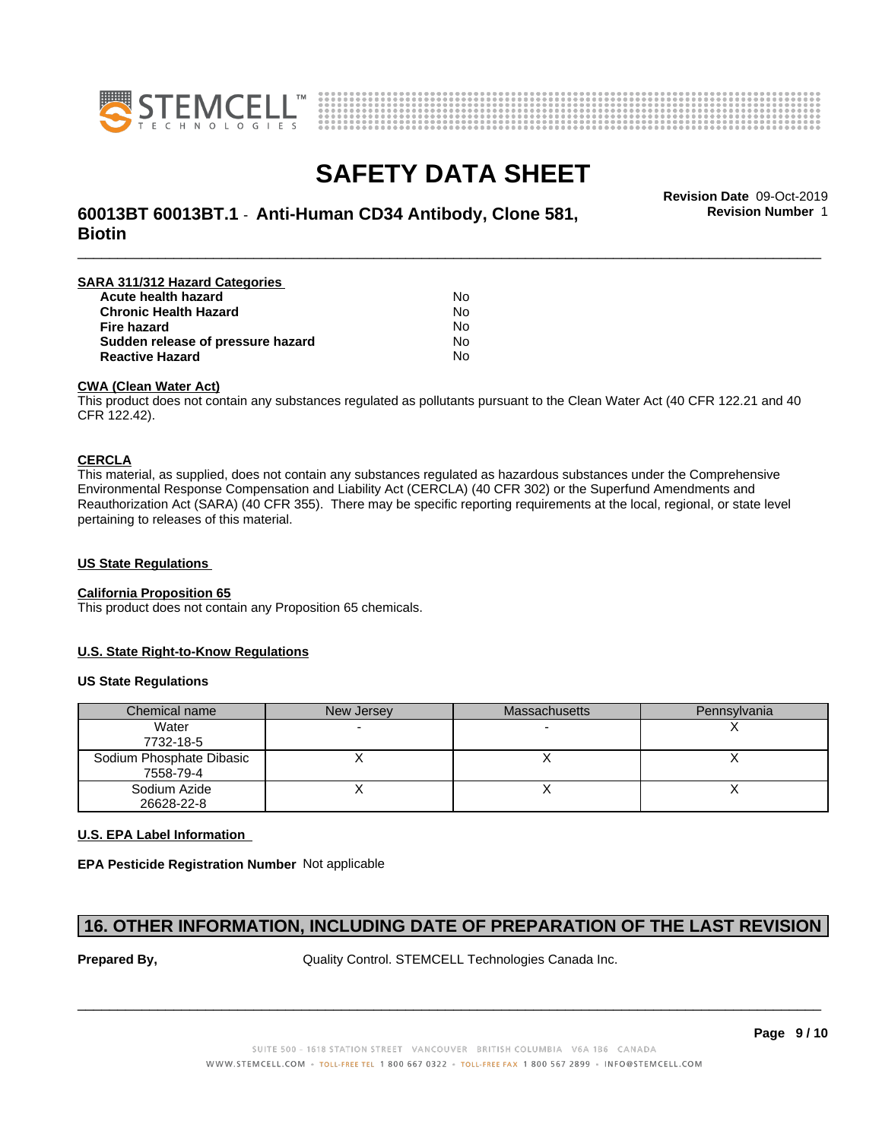



# **SAFETY DATA SHEET**<br>Revision Date 09-Oct-2019

\_\_\_\_\_\_\_\_\_\_\_\_\_\_\_\_\_\_\_\_\_\_\_\_\_\_\_\_\_\_\_\_\_\_\_\_\_\_\_\_\_\_\_\_\_\_\_\_\_\_\_\_\_\_\_\_\_\_\_\_\_\_\_\_\_\_\_\_\_\_\_\_\_\_\_\_\_\_\_\_\_\_\_\_\_\_\_\_\_\_\_\_\_ **Revision Date** 09-Oct-2019 **60013BT 60013BT.1** - **Anti-Human CD34 Antibody, Clone 581, Biotin**

**Revision Number** 1

| SARA 311/312 Hazard Categories    |    |  |
|-----------------------------------|----|--|
| Acute health hazard               | No |  |
| <b>Chronic Health Hazard</b>      | No |  |
| <b>Fire hazard</b>                | No |  |
| Sudden release of pressure hazard | No |  |
| <b>Reactive Hazard</b>            | No |  |

### **CWA (Clean WaterAct)**

This product does not contain any substances regulated as pollutants pursuant to the Clean Water Act (40 CFR 122.21 and 40 CFR 122.42).

### **CERCLA**

This material, as supplied, does not contain any substances regulated as hazardous substances under the Comprehensive Environmental Response Compensation and Liability Act (CERCLA) (40 CFR 302) or the Superfund Amendments and Reauthorization Act (SARA) (40 CFR 355). There may be specific reporting requirements at the local, regional, or state level pertaining to releases of this material.

### **US State Regulations**

### **California Proposition 65**

This product does not contain any Proposition 65 chemicals.

### **U.S. State Right-to-Know Regulations**

### **US State Regulations**

| Chemical name                         | New Jersey | <b>Massachusetts</b> | Pennsylvania |
|---------------------------------------|------------|----------------------|--------------|
| Water<br>7732-18-5                    |            |                      |              |
| Sodium Phosphate Dibasic<br>7558-79-4 |            |                      |              |
| Sodium Azide<br>26628-22-8            |            |                      |              |

### **U.S. EPA Label Information**

**EPA Pesticide Registration Number** Not applicable

### **16. OTHER INFORMATION, INCLUDING DATE OF PREPARATION OF THE LAST REVISION**

**Prepared By, State Control. STEMCELL Technologies Canada Inc.**